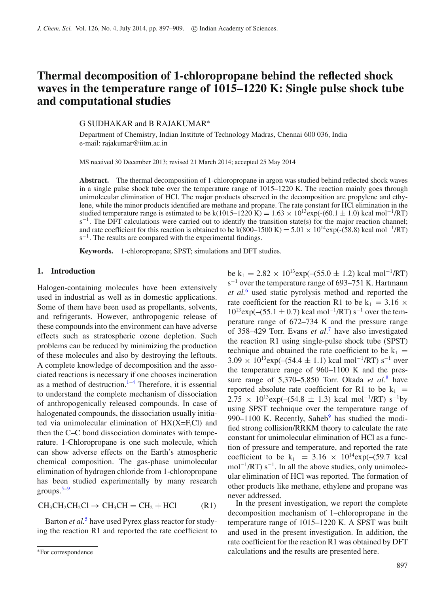# **Thermal decomposition of 1-chloropropane behind the reflected shock waves in the temperature range of 1015–1220 K: Single pulse shock tube and computational studies**

G SUDHAKAR and B RAJAKUMAR∗

Department of Chemistry, Indian Institute of Technology Madras, Chennai 600 036, India e-mail: rajakumar@iitm.ac.in

MS received 30 December 2013; revised 21 March 2014; accepted 25 May 2014

**Abstract.** The thermal decomposition of 1-chloropropane in argon was studied behind reflected shock waves in a single pulse shock tube over the temperature range of 1015–1220 K. The reaction mainly goes through unimolecular elimination of HCl. The major products observed in the decomposition are propylene and ethylene, while the minor products identified are methane and propane. The rate constant for HCl elimination in the studied temperature range is estimated to be k(1015–1220 K) =  $1.63 \times 10^{13}$ exp(-(60.1 ± 1.0) kcal mol<sup>-1</sup>/RT)  $s^{-1}$ . The DFT calculations were carried out to identify the transition state(s) for the major reaction channel; and rate coefficient for this reaction is obtained to be k(800–1500 K) = 5.01  $\times$  10<sup>14</sup>exp(-(58.8) kcal mol<sup>-1</sup>/RT)  $s^{-1}$ . The results are compared with the experimental findings.

**Keywords.** 1-chloropropane; SPST; simulations and DFT studies.

#### **1. Introduction**

Halogen-containing molecules have been extensively used in industrial as well as in domestic applications. Some of them have been used as propellants, solvents, and refrigerants. However, anthropogenic release of these compounds into the environment can have adverse effects such as stratospheric ozone depletion. Such problems can be reduced by minimizing the production of these molecules and also by destroying the leftouts. A complete knowledge of decomposition and the associated reactions is necessary if one chooses incineration as a method of destruction.<sup>1–[4](#page-12-1)</sup> Therefore, it is essential to understand the complete mechanism of dissociation of anthropogenically released compounds. In case of halogenated compounds, the dissociation usually initiated via unimolecular elimination of HX(X=F,Cl) and then the C–C bond dissociation dominates with temperature. 1-Chloropropane is one such molecule, which can show adverse effects on the Earth's atmospheric chemical composition. The gas-phase unimolecular elimination of hydrogen chloride from 1-chloropropane has been studied experimentally by many research groups. $5-9$  $5-9$ 

<span id="page-0-0"></span> $CH_3CH_2CH_2Cl \rightarrow CH_3CH = CH_2 + HCl$  (R1)

Barton *et al.*[5](#page-12-2) have used Pyrex glass reactor for studying the reaction R1 and reported the rate coefficient to be k<sub>1</sub> = 2.82 × 10<sup>13</sup>exp(–(55.0 ± 1.2) kcal mol<sup>-1</sup>/RT)  $s^{-1}$  over the temperature range of 693–751 K. Hartmann *et al.*[6](#page-12-4) used static pyrolysis method and reported the rate coefficient for the reaction R1 to be  $k_1 = 3.16 \times$  $10^{13}$ exp(–(55.1 ± 0.7) kcal mol<sup>-1</sup>/RT) s<sup>-1</sup> over the temperature range of 672–734 K and the pressure range of 358–429 Torr. Evans *et al*. [7](#page-12-5) have also investigated the reaction R1 using single-pulse shock tube (SPST) technique and obtained the rate coefficient to be  $k_1$  =  $3.09 \times 10^{13}$ exp(–(54.4 ± 1.1) kcal mol<sup>-1</sup>/RT) s<sup>-1</sup> over the temperature range of 960–1100 K and the pressure range of 5,370–5,850 Torr. Okada *et al*. [8](#page-12-6) have reported absolute rate coefficient for R1 to be  $k_1$  =  $2.75 \times 10^{13}$ exp(–(54.8 ± 1.3) kcal mol<sup>-1</sup>/RT) s<sup>-1</sup>by using SPST technique over the temperature range of 990–1100 K. Recently, Saheb<sup>9</sup> has studied the modified strong collision/RRKM theory to calculate the rate constant for unimolecular elimination of HCl as a function of pressure and temperature, and reported the rate coefficient to be  $k_1 = 3.16 \times 10^{14} \exp(-59.7 \text{ kcal})$ mol<sup>-1</sup>/RT) s<sup>-1</sup>. In all the above studies, only unimolecular elimination of HCl was reported. The formation of other products like methane, ethylene and propane was never addressed.

In the present investigation, we report the complete decomposition mechanism of 1–chloropropane in the temperature range of 1015–1220 K. A SPST was built and used in the present investigation. In addition, the rate coefficient for the reaction R1 was obtained by DFT calculations and the results are presented here.

<sup>∗</sup>For correspondence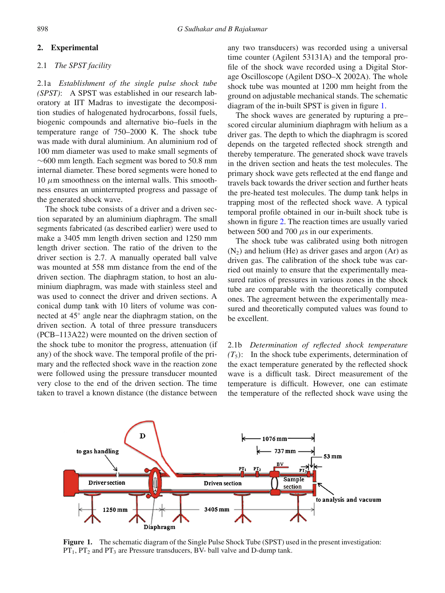# **2. Experimental**

# 2.1 *The SPST facility*

2.1a *Establishment of the single pulse shock tube (SPST)*: A SPST was established in our research laboratory at IIT Madras to investigate the decomposition studies of halogenated hydrocarbons, fossil fuels, biogenic compounds and alternative bio–fuels in the temperature range of 750–2000 K. The shock tube was made with dural aluminium. An aluminium rod of 100 mm diameter was used to make small segments of ∼600 mm length. Each segment was bored to 50.8 mm internal diameter. These bored segments were honed to  $10 \mu$ m smoothness on the internal walls. This smoothness ensures an uninterrupted progress and passage of the generated shock wave.

The shock tube consists of a driver and a driven section separated by an aluminium diaphragm. The small segments fabricated (as described earlier) were used to make a 3405 mm length driven section and 1250 mm length driver section. The ratio of the driven to the driver section is 2.7. A manually operated ball valve was mounted at 558 mm distance from the end of the driven section. The diaphragm station, to host an aluminium diaphragm, was made with stainless steel and was used to connect the driver and driven sections. A conical dump tank with 10 liters of volume was connected at 45◦ angle near the diaphragm station, on the driven section. A total of three pressure transducers (PCB–113A22) were mounted on the driven section of the shock tube to monitor the progress, attenuation (if any) of the shock wave. The temporal profile of the primary and the reflected shock wave in the reaction zone were followed using the pressure transducer mounted very close to the end of the driven section. The time taken to travel a known distance (the distance between any two transducers) was recorded using a universal time counter (Agilent 53131A) and the temporal profile of the shock wave recorded using a Digital Storage Oscilloscope (Agilent DSO–X 2002A). The whole shock tube was mounted at 1200 mm height from the ground on adjustable mechanical stands. The schematic diagram of the in-built SPST is given in figure [1.](#page-1-0)

The shock waves are generated by rupturing a pre– scored circular aluminium diaphragm with helium as a driver gas. The depth to which the diaphragm is scored depends on the targeted reflected shock strength and thereby temperature. The generated shock wave travels in the driven section and heats the test molecules. The primary shock wave gets reflected at the end flange and travels back towards the driver section and further heats the pre-heated test molecules. The dump tank helps in trapping most of the reflected shock wave. A typical temporal profile obtained in our in-built shock tube is shown in figure [2.](#page-2-0) The reaction times are usually varied between 500 and 700 *μ*s in our experiments.

The shock tube was calibrated using both nitrogen  $(N<sub>2</sub>)$  and helium (He) as driver gases and argon (Ar) as driven gas. The calibration of the shock tube was carried out mainly to ensure that the experimentally measured ratios of pressures in various zones in the shock tube are comparable with the theoretically computed ones. The agreement between the experimentally measured and theoretically computed values was found to be excellent.

2.1b *Determination of reflected shock temperature*  $(T<sub>5</sub>)$ : In the shock tube experiments, determination of the exact temperature generated by the reflected shock wave is a difficult task. Direct measurement of the temperature is difficult. However, one can estimate the temperature of the reflected shock wave using the

<span id="page-1-0"></span>

**Figure 1.** The schematic diagram of the Single Pulse Shock Tube (SPST) used in the present investigation:  $PT_1$ ,  $PT_2$  and  $PT_3$  are Pressure transducers, BV- ball valve and D-dump tank.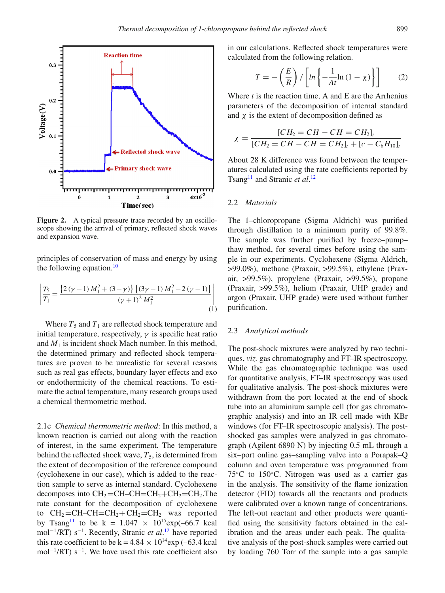<span id="page-2-0"></span>

**Figure 2.** A typical pressure trace recorded by an oscilloscope showing the arrival of primary, reflected shock waves and expansion wave.

principles of conservation of mass and energy by using the following equation. $10$ 

$$
\left| \frac{T_5}{T_1} = \frac{\left\{2\left(\gamma - 1\right)M_1^2 + \left(3 - \gamma\right)\right\} \left\{ \left(3\gamma - 1\right)M_1^2 - 2\left(\gamma - 1\right)\right\}}{\left(\gamma + 1\right)^2 M_1^2} \right| \tag{1}
$$

Where  $T_5$  and  $T_1$  are reflected shock temperature and initial temperature, respectively,  $\gamma$  is specific heat ratio and  $M_1$  is incident shock Mach number. In this method, the determined primary and reflected shock temperatures are proven to be unrealistic for several reasons such as real gas effects, boundary layer effects and exo or endothermicity of the chemical reactions. To estimate the actual temperature, many research groups used a chemical thermometric method.

2.1c *Chemical thermometric method*: In this method, a known reaction is carried out along with the reaction of interest, in the same experiment. The temperature behind the reflected shock wave,  $T_5$ , is determined from the extent of decomposition of the reference compound (cyclohexene in our case), which is added to the reaction sample to serve as internal standard. Cyclohexene decomposes into  $CH_2=CH-CH=CH_2+CH_2=CH_2$ . The rate constant for the decomposition of cyclohexene to  $CH_2=CH-CH=CH_2+CH_2=CH_2$  was reported by Tsang<sup>11</sup> to be k =  $1.047 \times 10^{15}$ exp(-66.7 kcal mol−1/RT) s−1. Recently, Stranic *et al*. [12](#page-12-9) have reported this rate coefficient to be  $k = 4.84 \times 10^{14}$  exp (–63.4 kcal mol<sup>-1</sup>/RT) s<sup>-1</sup>. We have used this rate coefficient also in our calculations. Reflected shock temperatures were calculated from the following relation.

$$
T = -\left(\frac{E}{R}\right) / \left[ \ln \left\{ -\frac{1}{At} \ln \left( 1 - \chi \right) \right\} \right] \tag{2}
$$

Where  $t$  is the reaction time, A and E are the Arrhenius parameters of the decomposition of internal standard and  $\chi$  is the extent of decomposition defined as

$$
\chi = \frac{[CH_2 = CH - CH = CH_2]_t}{[CH_2 = CH - CH = CH_2]_t + [c - C_6H_{10}]_t}
$$

About 28 K difference was found between the temperatures calculated using the rate coefficients reported by Tsang<sup>11</sup> and Stranic *et al.*<sup>[12](#page-12-9)</sup>

## 2.2 *Materials*

The 1–chloropropane (Sigma Aldrich) was purified through distillation to a minimum purity of 99.8%. The sample was further purified by freeze–pump– thaw method, for several times before using the sample in our experiments. Cyclohexene (Sigma Aldrich, >99.0%), methane (Praxair, >99.5%), ethylene (Praxair, >99.5%), propylene (Praxair, >99.5%), propane (Praxair, >99.5%), helium (Praxair, UHP grade) and argon (Praxair, UHP grade) were used without further purification.

#### 2.3 *Analytical methods*

The post-shock mixtures were analyzed by two techniques, *viz.* gas chromatography and FT–IR spectroscopy. While the gas chromatographic technique was used for quantitative analysis, FT–IR spectroscopy was used for qualitative analysis. The post-shock mixtures were withdrawn from the port located at the end of shock tube into an aluminium sample cell (for gas chromatographic analysis) and into an IR cell made with KBr windows (for FT–IR spectroscopic analysis). The postshocked gas samples were analyzed in gas chromatograph (Agilent 6890 N) by injecting 0.5 mL through a six–port online gas–sampling valve into a Porapak–Q column and oven temperature was programmed from 75◦C to 150◦C. Nitrogen was used as a carrier gas in the analysis. The sensitivity of the flame ionization detector (FID) towards all the reactants and products were calibrated over a known range of concentrations. The left-out reactant and other products were quantified using the sensitivity factors obtained in the calibration and the areas under each peak. The qualitative analysis of the post-shock samples were carried out by loading 760 Torr of the sample into a gas sample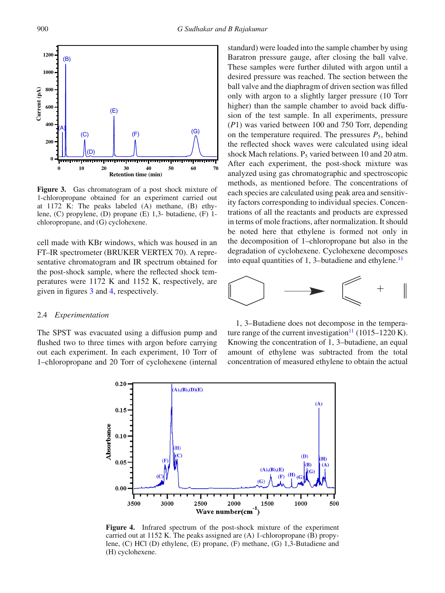<span id="page-3-0"></span>

**Figure 3.** Gas chromatogram of a post shock mixture of 1-chloropropane obtained for an experiment carried out at 1172 K: The peaks labeled (A) methane, (B) ethylene, (C) propylene, (D) propane (E) 1,3- butadiene, (F) 1 chloropropane, and (G) cyclohexene.

cell made with KBr windows, which was housed in an FT–IR spectrometer (BRUKER VERTEX 70). A representative chromatogram and IR spectrum obtained for the post-shock sample, where the reflected shock temperatures were 1172 K and 1152 K, respectively, are given in figures [3](#page-3-0) and [4,](#page-3-1) respectively.

## 2.4 *Experimentation*

<span id="page-3-1"></span>The SPST was evacuated using a diffusion pump and flushed two to three times with argon before carrying out each experiment. In each experiment, 10 Torr of 1–chloropropane and 20 Torr of cyclohexene (internal standard) were loaded into the sample chamber by using Baratron pressure gauge, after closing the ball valve. These samples were further diluted with argon until a desired pressure was reached. The section between the ball valve and the diaphragm of driven section was filled only with argon to a slightly larger pressure (10 Torr higher) than the sample chamber to avoid back diffusion of the test sample. In all experiments, pressure (*P*1) was varied between 100 and 750 Torr, depending on the temperature required. The pressures  $P_5$ , behind the reflected shock waves were calculated using ideal shock Mach relations.  $P_5$  varied between 10 and 20 atm. After each experiment, the post-shock mixture was analyzed using gas chromatographic and spectroscopic methods, as mentioned before. The concentrations of each species are calculated using peak area and sensitivity factors corresponding to individual species. Concentrations of all the reactants and products are expressed in terms of mole fractions, after normalization. It should be noted here that ethylene is formed not only in the decomposition of 1–chloropropane but also in the degradation of cyclohexene. Cyclohexene decomposes into equal quantities of 1, 3–butadiene and ethylene. $<sup>11</sup>$ </sup>



1, 3–Butadiene does not decompose in the temperature range of the current investigation<sup>11</sup> (1015–1220 K). Knowing the concentration of 1, 3–butadiene, an equal amount of ethylene was subtracted from the total concentration of measured ethylene to obtain the actual



**Figure 4.** Infrared spectrum of the post-shock mixture of the experiment carried out at 1152 K. The peaks assigned are (A) 1-chloropropane (B) propylene, (C) HCl (D) ethylene, (E) propane, (F) methane, (G) 1,3-Butadiene and (H) cyclohexene.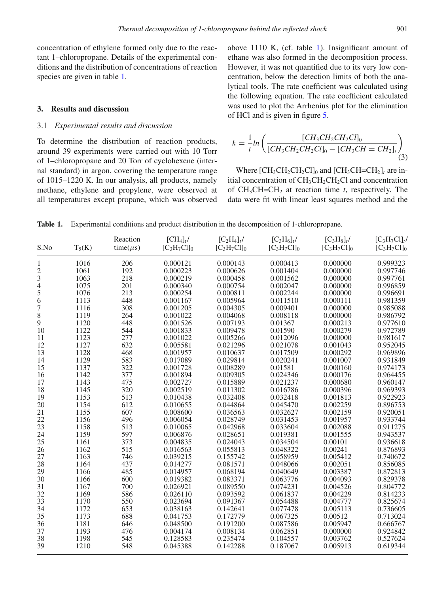concentration of ethylene formed only due to the reactant 1–chloropropane. Details of the experimental conditions and the distribution of concentrations of reaction species are given in table [1.](#page-4-0)

## **3. Results and discussion**

# 3.1 *Experimental results and discussion*

To determine the distribution of reaction products, around 39 experiments were carried out with 10 Torr of 1–chloropropane and 20 Torr of cyclohexene (internal standard) in argon, covering the temperature range of 1015–1220 K. In our analysis, all products, namely methane, ethylene and propylene, were observed at all temperatures except propane, which was observed above 1110 K, (cf. table [1\)](#page-4-0). Insignificant amount of ethane was also formed in the decomposition process. However, it was not quantified due to its very low concentration, below the detection limits of both the analytical tools. The rate coefficient was calculated using the following equation. The rate coefficient calculated was used to plot the Arrhenius plot for the elimination of HCl and is given in figure [5.](#page-5-0)

$$
k = \frac{1}{t} ln \left( \frac{[CH_3CH_2CH_2Cl]_0}{[CH_3CH_2CH_2Cl]_0 - [CH_3CH = CH_2]_t} \right)
$$
(3)

Where  $[CH_3CH_2CH_2Cl]_0$  and  $[CH_3CH=CH_2]_t$  are initial concentration of  $CH_3CH_2CH_2Cl$  and concentration of  $CH_3CH=CH_2$  at reaction time *t*, respectively. The data were fit with linear least squares method and the

<span id="page-4-0"></span>**Table 1.** Experimental conditions and product distribution in the decomposition of 1-chloropropane.

| S.No           | $T_5(K)$ | Reaction<br>$time(\mu s)$ | $[CH_4]_t$ /<br>$[C_3H_7Cl]_0$ | $[C_2H_4]_t$ /<br>$[C_3H_7Cl]_0$ | $[C_3H_6]_t$ /<br>$[C_3H_7Cl]_0$ | $[C_3H_8]_t$ /<br>$[C_3H_7Cl]_0$ | $[C_3H_7Cl]_t$ /<br>$[C3H7Cl0$ |
|----------------|----------|---------------------------|--------------------------------|----------------------------------|----------------------------------|----------------------------------|--------------------------------|
| 1              | 1016     | 206                       | 0.000121                       | 0.000143                         | 0.000413                         | 0.000000                         | 0.999323                       |
| $\overline{c}$ | 1061     | 192                       | 0.000223                       | 0.000626                         | 0.001404                         | 0.000000                         | 0.997746                       |
| 3              | 1063     | 218                       | 0.000219                       | 0.000458                         | 0.001562                         | 0.000000                         | 0.997761                       |
| $\frac{4}{5}$  | 1075     | 201                       | 0.000340                       | 0.000754                         | 0.002047                         | 0.000000                         | 0.996859                       |
|                | 1076     | 213                       | 0.000254                       | 0.000811                         | 0.002244                         | 0.000000                         | 0.996691                       |
| 6              | 1113     | 448                       | 0.001167                       | 0.005964                         | 0.011510                         | 0.000111                         | 0.981359                       |
| $\overline{7}$ | 1116     | 308                       | 0.001205                       | 0.004305                         | 0.009401                         | 0.000000                         | 0.985088                       |
| 8              | 1119     | 264                       | 0.001022                       | 0.004068                         | 0.008118                         | 0.000000                         | 0.986792                       |
| 9              | 1120     | 448                       | 0.001526                       | 0.007193                         | 0.01367                          | 0.000213                         | 0.977610                       |
| 10             | 1122     | 544                       | 0.001833                       | 0.009478                         | 0.01590                          | 0.000279                         | 0.972789                       |
| 11             | 1123     | 277                       | 0.001022                       | 0.005266                         | 0.012096                         | 0.000000                         | 0.981617                       |
| 12             | 1127     | 632                       | 0.005581                       | 0.021296                         | 0.021078                         | 0.001043                         | 0.952045                       |
| 13             | 1128     | 468                       | 0.001957                       | 0.010637                         | 0.017509                         | 0.000292                         | 0.969896                       |
| 14             | 1129     | 583                       | 0.017089                       | 0.029814                         | 0.020241                         | 0.001007                         | 0.931849                       |
| 15             | 1137     | 322                       | 0.001728                       | 0.008289                         | 0.01581                          | 0.000160                         | 0.974173                       |
| 16             | 1142     | 377                       | 0.001894                       | 0.009305                         | 0.024346                         | 0.000176                         | 0.964455                       |
| 17             | 1143     | 475                       | 0.002727                       | 0.015889                         | 0.021237                         | 0.000680                         | 0.960147                       |
| 18             | 1145     | 320                       | 0.002519                       | 0.011302                         | 0.016786                         | 0.000396                         | 0.969393                       |
| 19             | 1153     | 513                       | 0.010438                       | 0.032408                         | 0.032418                         | 0.001813                         | 0.922923                       |
| 20             | 1154     | 612                       | 0.010655                       | 0.044864                         | 0.045470                         | 0.002259                         | 0.896753                       |
| 21             | 1155     | 607                       | 0.008600                       | 0.036563                         | 0.032627                         | 0.002159                         | 0.920051                       |
| 22             | 1156     | 496                       | 0.006054                       | 0.028749                         | 0.031453                         | 0.001957                         | 0.933744                       |
| 23             | 1158     | 513                       | 0.010065                       | 0.042968                         | 0.033604                         | 0.002088                         | 0.911275                       |
| 24             | 1159     | 597                       | 0.006876                       | 0.028651                         | 0.019381                         | 0.001555                         | 0.943537                       |
| 25             | 1161     | 373                       | 0.004835                       | 0.024043                         | 0.034504                         | 0.00101                          | 0.936618                       |
| 26             | 1162     | 515                       | 0.016563                       | 0.055813                         | 0.048322                         | 0.00241                          | 0.876893                       |
| 27             | 1163     | 746                       | 0.039215                       | 0.155742                         | 0.058959                         | 0.005412                         | 0.740672                       |
| 28             | 1164     | 437                       | 0.014277                       | 0.081571                         | 0.048066                         | 0.002051                         | 0.856085                       |
| 29             | 1166     | 485                       | 0.014957                       | 0.068194                         | 0.040649                         | 0.003387                         | 0.872813                       |
| 30             | 1166     | 600                       | 0.019382                       | 0.083371                         | 0.063776                         | 0.004093                         | 0.829378                       |
| 31             | 1167     | 700                       | 0.026921                       | 0.089550                         | 0.074231                         | 0.004526                         | 0.804772                       |
| 32             | 1169     | 586                       | 0.026110                       | 0.093592                         | 0.061837                         | 0.004229                         | 0.814233                       |
| 33             | 1170     | 550                       | 0.023694                       | 0.091367                         | 0.054488                         | 0.004777                         | 0.825674                       |
| 34             | 1172     | 653                       | 0.038163                       | 0.142641                         | 0.077478                         | 0.005113                         | 0.736605                       |
| 35             | 1173     | 688                       | 0.041753                       | 0.172779                         | 0.067325                         | 0.00512                          | 0.713024                       |
| 36             | 1181     | 646                       | 0.048500                       | 0.191200                         | 0.087586                         | 0.005947                         | 0.666767                       |
| 37             | 1193     | 476                       | 0.004174                       | 0.008134                         | 0.062851                         | 0.000000                         | 0.924842                       |
| 38             | 1198     | 545                       | 0.128583                       | 0.235474                         | 0.104557                         | 0.003762                         | 0.527624                       |
| 39             | 1210     | 548                       | 0.045388                       | 0.142288                         | 0.187067                         | 0.005913                         | 0.619344                       |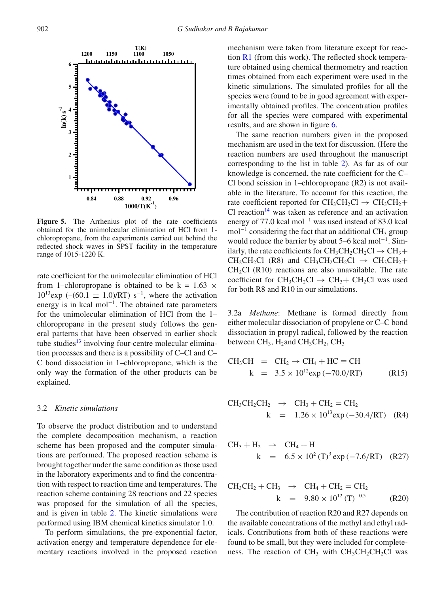<span id="page-5-0"></span>

Figure 5. The Arrhenius plot of the rate coefficients obtained for the unimolecular elimination of HCl from 1 chloropropane, from the experiments carried out behind the reflected shock waves in SPST facility in the temperature range of 1015-1220 K.

rate coefficient for the unimolecular elimination of HCl from 1–chloropropane is obtained to be  $k = 1.63 \times$  $10^{13}$ exp (–(60.1 ± 1.0)/RT) s<sup>-1</sup>, where the activation energy is in kcal mol−1. The obtained rate parameters for the unimolecular elimination of HCl from the 1– chloropropane in the present study follows the general patterns that have been observed in earlier shock tube studies<sup>13</sup> involving four-centre molecular elimination processes and there is a possibility of C–Cl and C– C bond dissociation in 1–chloropropane, which is the only way the formation of the other products can be explained.

#### 3.2 *Kinetic simulations*

To observe the product distribution and to understand the complete decomposition mechanism, a reaction scheme has been proposed and the computer simulations are performed. The proposed reaction scheme is brought together under the same condition as those used in the laboratory experiments and to find the concentration with respect to reaction time and temperatures. The reaction scheme containing 28 reactions and 22 species was proposed for the simulation of all the species, and is given in table [2.](#page-6-0) The kinetic simulations were performed using IBM chemical kinetics simulator 1.0.

To perform simulations, the pre-exponential factor, activation energy and temperature dependence for elementary reactions involved in the proposed reaction mechanism were taken from literature except for reaction  $R1$  (from this work). The reflected shock temperature obtained using chemical thermometry and reaction times obtained from each experiment were used in the kinetic simulations. The simulated profiles for all the species were found to be in good agreement with experimentally obtained profiles. The concentration profiles for all the species were compared with experimental results, and are shown in figure [6.](#page-7-0)

The same reaction numbers given in the proposed mechanism are used in the text for discussion. (Here the reaction numbers are used throughout the manuscript corresponding to the list in table [2\)](#page-6-0). As far as of our knowledge is concerned, the rate coefficient for the C– Cl bond scission in 1–chloropropane (R2) is not available in the literature. To account for this reaction, the rate coefficient reported for  $CH_3CH_2Cl \rightarrow CH_3CH_2+$  $Cl$  reaction<sup>14</sup> was taken as reference and an activation energy of 77.0 kcal mol−<sup>1</sup> was used instead of 83.0 kcal mol<sup>-1</sup> considering the fact that an additional CH<sub>3</sub> group would reduce the barrier by about 5–6 kcal mol<sup>-1</sup>. Similarly, the rate coefficients for  $CH_3CH_2CH_2Cl \rightarrow CH_3+$  $CH_2CH_2Cl$  (R8) and  $CH_3CH_2CH_2Cl \rightarrow CH_3CH_2+$  $CH<sub>2</sub>Cl$  (R10) reactions are also unavailable. The rate coefficient for  $CH_3CH_2Cl \rightarrow CH_3 + CH_2Cl$  was used for both R8 and R10 in our simulations.

3.2a *Methane*: Methane is formed directly from either molecular dissociation of propylene or C–C bond dissociation in propyl radical, followed by the reaction between  $CH_3$ ,  $H_2$ and  $CH_3CH_2$ ,  $CH_3$ 

CH<sub>3</sub>CH = CH<sub>2</sub> 
$$
\rightarrow
$$
 CH<sub>4</sub> + HC = CH  
k = 3.5  $\times$  10<sup>12</sup>exp (-70.0/RT) (R15)

$$
CH_3CH_2CH_2 \rightarrow CH_3 + CH_2 = CH_2
$$
  
\n
$$
k = 1.26 \times 10^{13} \exp(-30.4/RT) \quad (R4)
$$

CH<sub>3</sub> + H<sub>2</sub> 
$$
\rightarrow
$$
 CH<sub>4</sub> + H  
k = 6.5 × 10<sup>2</sup> (T)<sup>3</sup> exp (-7.6/RT) (R27)

$$
CH_3CH_2 + CH_3 \rightarrow CH_4 + CH_2 = CH_2
$$
  
\n
$$
k = 9.80 \times 10^{12} (T)^{-0.5}
$$
 (R20)

The contribution of reaction R20 and R27 depends on the available concentrations of the methyl and ethyl radicals. Contributions from both of these reactions were found to be small, but they were included for completeness. The reaction of CH<sub>3</sub> with  $CH_3CH_2CH_2Cl$  was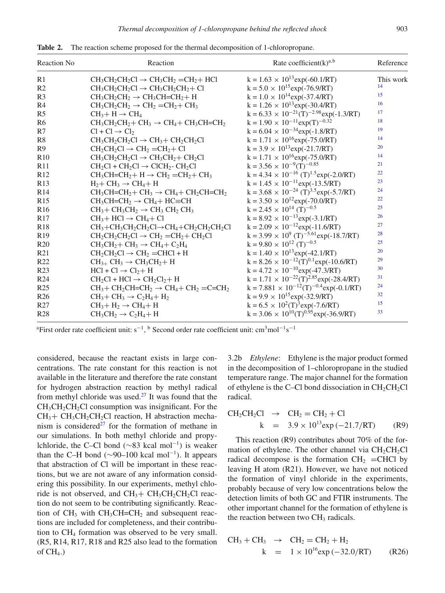| Reaction No     | Reaction                                                  | Rate coefficient( $k$ ) <sup>a,b</sup>                      | Reference |
|-----------------|-----------------------------------------------------------|-------------------------------------------------------------|-----------|
| R <sub>1</sub>  | $CH_3CH_2CH_2Cl \rightarrow CH_3CH_2=CH_2+HCl$            | $k = 1.63 \times 10^{13} \exp(-60.1/RT)$                    | This work |
| R <sub>2</sub>  | $CH_3CH_2CH_2Cl \rightarrow CH_3CH_2CH_2+Cl$              | $k = 5.0 \times 10^{15} exp(-76.9/RT)$                      | 14        |
| R <sub>3</sub>  | $CH_3CH_2CH_2 \rightarrow CH_3CH=CH_2+H$                  | $k = 1.0 \times 10^{14} \exp(-37.4/RT)$                     | 15        |
| R4              | $CH_3CH_2CH_2 \rightarrow CH_2 = CH_2 + CH_3$             | $k = 1.26 \times 10^{13} \exp(-30.4/RT)$                    | 16        |
| R <sub>5</sub>  | $CH_3 + H \rightarrow CH_4$                               | $k = 6.33 \times 10^{-21} (T)^{-2.98} exp(-1.3/RT)$         | 17        |
| R <sub>6</sub>  | $CH_3CH_2CH_2+CH_3 \rightarrow CH_4+CH_3CH=CH_2$          | $k = 1.90 \times 10^{-11} exp(T)^{-0.32}$                   | 18        |
| R7              | $Cl + Cl \rightarrow Cl_2$                                | $k = 6.04 \times 10^{-34}$ exp(-1.8/RT)                     | 19        |
| R <sub>8</sub>  | $CH_3CH_2CH_2Cl \rightarrow CH_3 + CH_2CH_2Cl$            | $k = 1.71 \times 10^{16} exp(-75.0/RT)$                     | 14        |
| R <sub>9</sub>  | $CH_2CH_2Cl \rightarrow CH_2=CH_2+Cl$                     | $k = 3.9 \times 10^{13} \exp(-21.7/RT)$                     | 20        |
| R10             | $CH_3CH_2CH_2Cl \rightarrow CH_3CH_2 + CH_2Cl$            | $k = 1.71 \times 10^{16} exp(-75.0/RT)$                     | 14        |
| R11             | $CH_2Cl + CH_2Cl \rightarrow ClCH_2$ - $CH_2Cl$           | $k = 3.56 \times 10^{-9} (T)^{-0.85}$                       | 21        |
| R12             | $CH_3CH=CH_2+H \rightarrow CH_2=CH_2+CH_3$                | $k = 4.34 \times 10^{-16} (T)^{1.5} exp(-2.0/RT)$           | 22        |
| R13             | $H_2 + CH_3 \rightarrow CH_4 + H$                         | $k = 1.45 \times 10^{-11} \exp(-13.5/RT)$                   | 23        |
| R14             | $CH_3CH=CH_2+CH_3 \rightarrow CH_4+CH_2CH=CH_2$           | $k = 3.68 \times 10^{-24}$ (T) <sup>3.5</sup> exp(-5.7/RT)  | 24        |
| R15             | $CH_3CH=CH_2 \rightarrow CH_4 + HC=CH$                    | $k = 3.50 \times 10^{12} \exp(-70.0/RT)$                    | 22        |
| R <sub>16</sub> | $CH_3 + CH_3CH_2 \rightarrow CH_3 CH_2 CH_3$              | $k = 2.45 \times 10^{14}$ (T) <sup>-0.5</sup>               | 25        |
| R17             | $CH_3 + HCl \rightarrow CH_4 + Cl$                        | $k = 8.92 \times 10^{-13} \exp(-3.1/RT)$                    | 26        |
| R18             | $CH_3 + CH_3CH_2CH_2Cl \rightarrow CH_4 + CH_2CH_2CH_2Cl$ | $k = 2.09 \times 10^{-12} \exp(-11.6/RT)$                   | 27        |
| R <sub>19</sub> | $CH_2CH_2CH_2Cl \rightarrow CH_2=CH_2+CH_2Cl$             | $k = 3.99 \times 10^{9}$ (T) <sup>-5.61</sup> exp(-18.7/RT) | 28        |
| R <sub>20</sub> | $CH_3CH_2+CH_3 \rightarrow CH_4+ C_2H_4$                  | $k = 9.80 \times 10^{12}$ (T) <sup>-0.5</sup>               | 25        |
| R21             | $CH_2CH_2Cl \rightarrow CH_2 = CHCl + H$                  | $k = 1.40 \times 10^{13} \exp(-42.1/RT)$                    | 20        |
| R22             | $CH_{3+}CH_3 \rightarrow CH_3CH_2 + H$                    | $k = 8.26 \times 10^{-12} (T)^{0.1} exp(-10.6/RT)$          | 29        |
| R23             | $HCl + Cl \rightarrow Cl_2 + H$                           | $k = 4.72 \times 10^{-10} \exp(-47.3/RT)$                   | 30        |
| R <sub>24</sub> | $CH_2Cl + HCl \rightarrow CH_2Cl_2 + H$                   | $k = 1.71 \times 10^{-22} (T)^{2.85} exp(-28.4/RT)$         | 31        |
| R <sub>25</sub> | $CH_3 + CH_2CH=CH_2 \rightarrow CH_4 + CH_2 = C=CH_2$     | $k = 7.881 \times 10^{-12} (T)^{-0.4} exp(-0.1/RT)$         | 24        |
| R <sub>26</sub> | $CH_3 + CH_3 \rightarrow C_2H_4 + H_2$                    | $k = 9.9 \times 10^{15} \exp(-32.9/RT)$                     | 32        |
| R <sub>27</sub> | $CH_3 + H_2 \rightarrow CH_4 + H$                         | $k = 6.5 \times 10^2(T)^3 \exp(-7.6/RT)$                    | 15        |
| <b>R28</b>      | $CH_3CH_2 \rightarrow C_2H_4 + H$                         | $k = 3.06 \times 10^{10} (T)^{0.95} exp(-36.9/RT)$          | 33        |

<span id="page-6-0"></span>**Table 2.** The reaction scheme proposed for the thermal decomposition of 1-chloropropane.

<sup>a</sup>First order rate coefficient unit: s<sup>-1</sup>, <sup>b</sup> Second order rate coefficient unit: cm<sup>3</sup>mol<sup>-1</sup>s<sup>-1</sup>

considered, because the reactant exists in large concentrations. The rate constant for this reaction is not available in the literature and therefore the rate constant for hydrogen abstraction reaction by methyl radical from methyl chloride was used.<sup>27</sup> It was found that the  $CH<sub>3</sub>CH<sub>2</sub>CH<sub>2</sub>Cl$  consumption was insignificant. For the  $CH<sub>3</sub>+ CH<sub>3</sub>CH<sub>2</sub>CH<sub>2</sub>Cl reaction, H abstraction mecha$ nism is considered<sup>27</sup> for the formation of methane in our simulations. In both methyl chloride and propylchloride, the C–Cl bond (∼83 kcal mol−<sup>1</sup>*)* is weaker than the C–H bond ( $\sim$ 90–100 kcal mol<sup>-1</sup>). It appears that abstraction of Cl will be important in these reactions, but we are not aware of any information considering this possibility. In our experiments, methyl chloride is not observed, and  $CH_3$ +  $CH_3CH_2CH_2Cl$  reaction do not seem to be contributing significantly. Reaction of  $CH_3$  with  $CH_3CH=CH_2$  and subsequent reactions are included for completeness, and their contribution to CH<sub>4</sub> formation was observed to be very small. (R5, R14, R17, R18 and R25 also lead to the formation of  $CH<sub>4</sub>$ .)

3.2b *Ethylene*: Ethylene is the major product formed in the decomposition of 1–chloropropane in the studied temperature range. The major channel for the formation of ethylene is the C–Cl bond dissociation in  $CH_2CH_2Cl$ radical.

CH<sub>2</sub>CH<sub>2</sub>Cl 
$$
\rightarrow
$$
 CH<sub>2</sub> = CH<sub>2</sub> + Cl  
\nk = 3.9 × 10<sup>13</sup>exp (-21.7/RT) (R9)

This reaction (R9) contributes about 70% of the formation of ethylene. The other channel via  $CH_2CH_2Cl$ radical decompose is the formation  $CH_2$  =CHCl by leaving H atom (R21). However, we have not noticed the formation of vinyl chloride in the experiments, probably because of very low concentrations below the detection limits of both GC and FTIR instruments. The other important channel for the formation of ethylene is the reaction between two  $CH<sub>3</sub>$  radicals.

CH<sub>3</sub> + CH<sub>3</sub> 
$$
\rightarrow
$$
 CH<sub>2</sub> = CH<sub>2</sub> + H<sub>2</sub>  
\nk = 1 × 10<sup>16</sup>exp (-32.0/RT) (R26)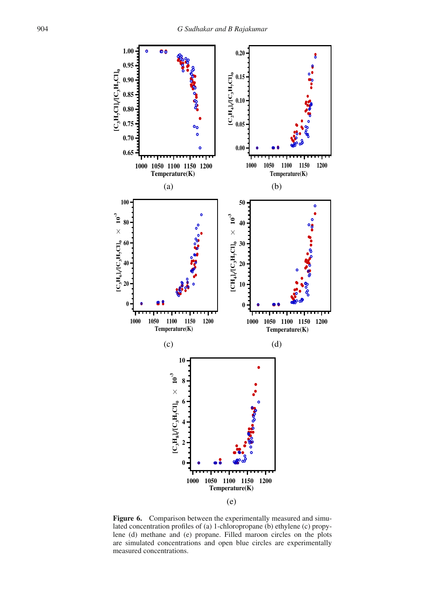<span id="page-7-0"></span>

Figure 6. Comparison between the experimentally measured and simulated concentration profiles of (a) 1-chloropropane (b) ethylene (c) propylene (d) methane and (e) propane. Filled maroon circles on the plots are simulated concentrations and open blue circles are experimentally measured concentrations.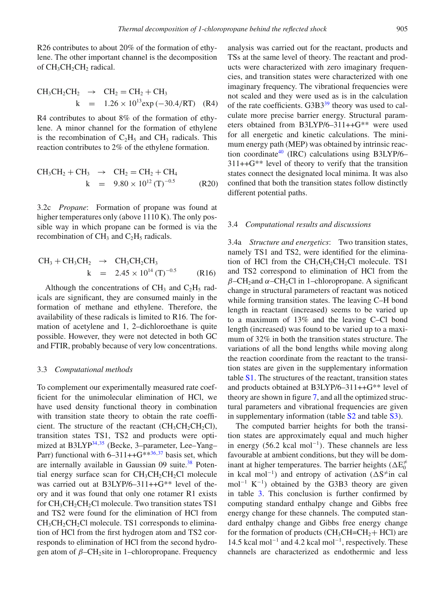R26 contributes to about 20% of the formation of ethylene. The other important channel is the decomposition of  $CH<sub>3</sub>CH<sub>2</sub>CH<sub>2</sub>$  radical.

$$
CH_3CH_2CH_2 \rightarrow CH_2 = CH_2 + CH_3
$$
  
k = 1.26 × 10<sup>13</sup>exp (-30.4/RT) (R4)

R4 contributes to about 8% of the formation of ethylene. A minor channel for the formation of ethylene is the recombination of  $C_2H_5$  and  $CH_3$  radicals. This reaction contributes to 2% of the ethylene formation.

$$
CH_3CH_2 + CH_3 \rightarrow CH_2 = CH_2 + CH_4
$$
  
\n
$$
k = 9.80 \times 10^{12} (T)^{-0.5}
$$
 (R20)

3.2c *Propane*: Formation of propane was found at higher temperatures only (above 1110 K). The only possible way in which propane can be formed is via the recombination of  $CH_3$  and  $C_2H_5$  radicals.

$$
CH_3 + CH_3CH_2 \rightarrow CH_3CH_2CH_3
$$
  
\n
$$
k = 2.45 \times 10^{14} (T)^{-0.5}
$$
 (R16)

Although the concentrations of  $CH_3$  and  $C_2H_5$  radicals are significant, they are consumed mainly in the formation of methane and ethylene. Therefore, the availability of these radicals is limited to R16. The formation of acetylene and 1, 2–dichloroethane is quite possible. However, they were not detected in both GC and FTIR, probably because of very low concentrations.

#### 3.3 *Computational methods*

To complement our experimentally measured rate coefficient for the unimolecular elimination of HCl, we have used density functional theory in combination with transition state theory to obtain the rate coefficient. The structure of the reactant  $(CH_3CH_2CH_2Cl)$ , transition states TS1, TS2 and products were opti-mized at B3LYP<sup>34,[35](#page-12-32)</sup> (Becke, 3–parameter, Lee–Yang– Parr) functional with  $6-311++G***^{36,37}$  $6-311++G***^{36,37}$  $6-311++G***^{36,37}$  basis set, which are internally available in Gaussian 09 suite.<sup>38</sup> Potential energy surface scan for  $CH<sub>3</sub>CH<sub>2</sub>CH<sub>2</sub>Cl$  molecule was carried out at B3LYP/6-311++G\*\* level of theory and it was found that only one rotamer R1 exists for  $CH_3CH_2CH_2Cl$  molecule. Two transition states TS1 and TS2 were found for the elimination of HCl from  $CH<sub>3</sub>CH<sub>2</sub>CH<sub>2</sub>Cl$  molecule. TS1 corresponds to elimination of HCl from the first hydrogen atom and TS2 corresponds to elimination of HCl from the second hydrogen atom of *β*–CH<sub>2</sub>site in 1–chloropropane. Frequency

analysis was carried out for the reactant, products and TSs at the same level of theory. The reactant and products were characterized with zero imaginary frequencies, and transition states were characterized with one imaginary frequency. The vibrational frequencies were not scaled and they were used as is in the calculation of the rate coefficients. G3B3<sup>39</sup> theory was used to calculate more precise barrier energy. Structural parameters obtained from B3LYP/6–311++G\*\* were used for all energetic and kinetic calculations. The minimum energy path (MEP) was obtained by intrinsic reaction coordinate<sup>40</sup> (IRC) calculations using B3LYP/6– 311++G\*\* level of theory to verify that the transition states connect the designated local minima. It was also confined that both the transition states follow distinctly different potential paths.

#### 3.4 *Computational results and discussions*

3.4a *Structure and energetics*: Two transition states, namely TS1 and TS2, were identified for the elimination of HCl from the  $CH<sub>3</sub>CH<sub>2</sub>CH<sub>2</sub>Cl$  molecule. TS1 and TS2 correspond to elimination of HCl from the *β*–CH<sub>2</sub>and *α*–CH<sub>2</sub>Cl in 1–chloropropane. A significant change in structural parameters of reactant was noticed while forming transition states. The leaving C–H bond length in reactant (increased) seems to be varied up to a maximum of 13% and the leaving C–Cl bond length (increased) was found to be varied up to a maximum of 32% in both the transition states structure. The variations of all the bond lengths while moving along the reaction coordinate from the reactant to the transition states are given in the supplementary information table S1. The structures of the reactant, transition states and products obtained at B3LYP/6–311++G\*\* level of theory are shown in figure [7,](#page-9-0) and all the optimized structural parameters and vibrational frequencies are given in supplementary information (table  $S2$  and table  $S3$ ).

The computed barrier heights for both the transition states are approximately equal and much higher in energy (56.2 kcal mol−<sup>1</sup>*)*. These channels are less favourable at ambient conditions, but they will be dominant at higher temperatures. The barrier heights ( $\Delta E_0^{\neq}$ in kcal mol<sup>-1</sup>) and entropy of activation ( $\Delta S^{\neq}$ in cal mol<sup>-1</sup> K<sup>-1</sup>) obtained by the G3B3 theory are given in table [3.](#page-9-1) This conclusion is further confirmed by computing standard enthalpy change and Gibbs free energy change for these channels. The computed standard enthalpy change and Gibbs free energy change for the formation of products  $(CH_3CH=CH_2+ HCl)$  are 14.5 kcal mol−<sup>1</sup> and 4.2 kcal mol−1, respectively. These channels are characterized as endothermic and less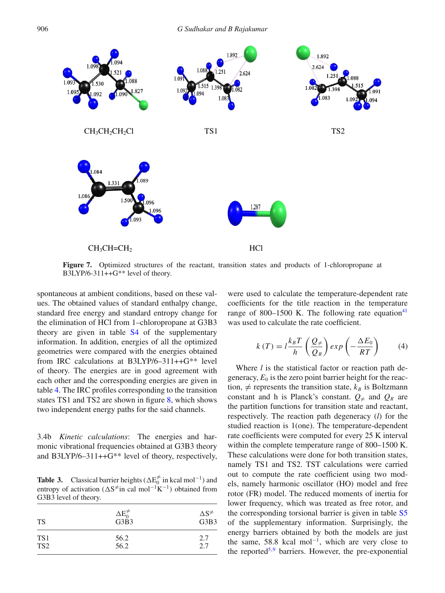<span id="page-9-0"></span>

**Figure 7.** Optimized structures of the reactant, transition states and products of 1-chloropropane at B3LYP/6-311++G\*\* level of theory.

spontaneous at ambient conditions, based on these values. The obtained values of standard enthalpy change, standard free energy and standard entropy change for the elimination of HCl from 1–chloropropane at G3B3 theory are given in table S4 of the supplementary information. In addition, energies of all the optimized geometries were compared with the energies obtained from IRC calculations at B3LYP/6–311++G\*\* level of theory. The energies are in good agreement with each other and the corresponding energies are given in table [4.](#page-10-0) The IRC profiles corresponding to the transition states TS1 and TS2 are shown in figure [8,](#page-10-1) which shows two independent energy paths for the said channels.

3.4b *Kinetic calculations*: The energies and harmonic vibrational frequencies obtained at G3B3 theory and B3LYP/6–311++G\*\* level of theory, respectively,

<span id="page-9-1"></span>**Table 3.** Classical barrier heights ( $\Delta E_0^{\neq}$  in kcal mol<sup>-1</sup>) and entropy of activation ( $\Delta S^{\neq}$ in cal mol<sup>-1</sup>K<sup>-1</sup>) obtained from G3B3 level of theory.

| <b>TS</b> | $\Delta E_0^{\neq}$<br>G3B3 | $\Delta S^{\neq}$<br>G3B3 |
|-----------|-----------------------------|---------------------------|
| TS1       | 56.2<br>56.2                | 2.7                       |
| TS2       |                             | 2.7                       |

were used to calculate the temperature-dependent rate coefficients for the title reaction in the temperature range of 800–1500 K. The following rate equation<sup>41</sup> was used to calculate the rate coefficient.

$$
k(T) = l \frac{k_B T}{h} \left(\frac{Q_{\neq}}{Q_R}\right) exp\left(-\frac{\Delta E_0}{RT}\right) \tag{4}
$$

Where *l* is the statistical factor or reaction path degeneracy,  $E_0$  is the zero point barrier height for the reaction,  $\neq$  represents the transition state,  $k_B$  is Boltzmann constant and h is Planck's constant.  $Q_{\neq}$  and  $Q_R$  are the partition functions for transition state and reactant, respectively. The reaction path degeneracy (*l*) for the studied reaction is 1(one). The temperature-dependent rate coefficients were computed for every 25 K interval within the complete temperature range of 800–1500 K. These calculations were done for both transition states, namely TS1 and TS2. TST calculations were carried out to compute the rate coefficient using two models, namely harmonic oscillator (HO) model and free rotor (FR) model. The reduced moments of inertia for lower frequency, which was treated as free rotor, and the corresponding torsional barrier is given in table S5 of the supplementary information. Surprisingly, the energy barriers obtained by both the models are just the same, 58.8 kcal mol−1, which are very close to the reported<sup>5[,9](#page-12-3)</sup> barriers. However, the pre-exponential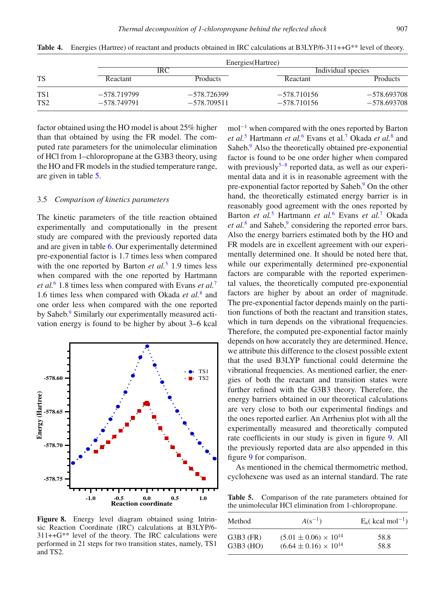| TS              |               |                 | Energies (Hartree) |                    |  |
|-----------------|---------------|-----------------|--------------------|--------------------|--|
|                 | <b>IRC</b>    |                 |                    | Individual species |  |
|                 | Reactant      | <b>Products</b> | Reactant           | <b>Products</b>    |  |
| TS1             | $-578.719799$ | $-578.726399$   | $-578.710156$      | $-578.693708$      |  |
| TS <sub>2</sub> | -578.749791   | $-578.709511$   | $-578.710156$      | $-578.693708$      |  |

<span id="page-10-0"></span>**Table 4.** Energies (Hartree) of reactant and products obtained in IRC calculations at B3LYP/6-311++G<sup>\*\*</sup> level of theory.

factor obtained using the HO model is about 25% higher than that obtained by using the FR model. The computed rate parameters for the unimolecular elimination of HCl from 1–chloropropane at the G3B3 theory, using the HO and FR models in the studied temperature range, are given in table [5.](#page-10-2)

#### 3.5 *Comparison of kinetics parameters*

The kinetic parameters of the title reaction obtained experimentally and computationally in the present study are compared with the previously reported data and are given in table [6.](#page-11-0) Our experimentally determined pre-exponential factor is 1.7 times less when compared with the one reported by Barton *et al.*<sup>[5](#page-12-2)</sup> 1.9 times less when compared with the one reported by Hartmann *et al.*[6](#page-12-4) 1.8 times less when compared with Evans *et al.*[7](#page-12-5) 1.6 times less when compared with Okada *et al.*[8](#page-12-6) and one order less when compared with the one reported by Saheb.<sup>9</sup> Similarly our experimentally measured activation energy is found to be higher by about 3–6 kcal

<span id="page-10-1"></span>

**Figure 8.** Energy level diagram obtained using Intrinsic Reaction Coordinate (IRC) calculations at B3LYP/6-  $311++G**$  level of the theory. The IRC calculations were performed in 21 steps for two transition states, namely, TS1 and TS2.

mol<sup>-1</sup> when compared with the ones reported by Barton *et al.*[5](#page-12-2) Hartmann *et al.*[6](#page-12-4) Evans et al[.7](#page-12-5) Okada *et al.*[8](#page-12-6) and Saheb.<sup>9</sup> Also the theoretically obtained pre-exponential factor is found to be one order higher when compared with previously<sup>5[–8](#page-12-6)</sup> reported data, as well as our experimental data and it is in reasonable agreement with the pre-exponential factor reported by Saheb.<sup>9</sup> On the other hand, the theoretically estimated energy barrier is in reasonably good agreement with the ones reported by Barton *et al.*[5](#page-12-2) Hartmann *et al.*[6](#page-12-4) Evans *et al.*[7](#page-12-5) Okada et al.<sup>[8](#page-12-6)</sup> and Saheb,<sup>9</sup> considering the reported error bars. Also the energy barriers estimated both by the HO and FR models are in excellent agreement with our experimentally determined one. It should be noted here that, while our experimentally determined pre-exponential factors are comparable with the reported experimental values, the theoretically computed pre-exponential factors are higher by about an order of magnitude. The pre-exponential factor depends mainly on the partition functions of both the reactant and transition states, which in turn depends on the vibrational frequencies. Therefore, the computed pre-exponential factor mainly depends on how accurately they are determined. Hence, we attribute this difference to the closest possible extent that the used B3LYP functional could determine the vibrational frequencies. As mentioned earlier, the energies of both the reactant and transition states were further refined with the G3B3 theory. Therefore, the energy barriers obtained in our theoretical calculations are very close to both our experimental findings and the ones reported earlier. An Arrhenius plot with all the experimentally measured and theoretically computed rate coefficients in our study is given in figure [9.](#page-11-1) All the previously reported data are also appended in this figure [9](#page-11-1) for comparison.

As mentioned in the chemical thermometric method, cyclohexene was used as an internal standard. The rate

<span id="page-10-2"></span>**Table 5.** Comparison of the rate parameters obtained for the unimolecular HCl elimination from 1-chloropropane.

| Method      | $A(s^{-1})$                      | $E_a$ (kcal mol <sup>-1</sup> ) |
|-------------|----------------------------------|---------------------------------|
| $G3B3$ (FR) | $(5.01 \pm 0.06) \times 10^{14}$ | 58.8                            |
| $G3B3$ (HO) | $(6.64 \pm 0.16) \times 10^{14}$ | 58.8                            |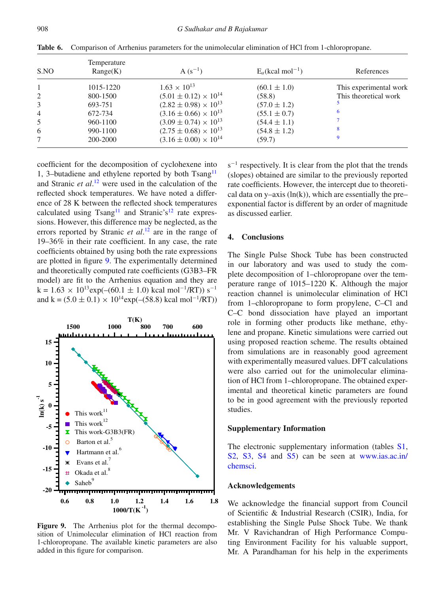| S.NO           | Temperature<br>Range(K) | $A(s^{-1})$                      | $E_a$ (kcal mol <sup>-1</sup> ) | References             |
|----------------|-------------------------|----------------------------------|---------------------------------|------------------------|
|                | 1015-1220               | $1.63 \times 10^{13}$            | $(60.1 \pm 1.0)$                | This experimental work |
| 2              | 800-1500                | $(5.01 \pm 0.12) \times 10^{14}$ | (58.8)                          | This theoretical work  |
| 3              | 693-751                 | $(2.82 \pm 0.98) \times 10^{13}$ | $(57.0 \pm 1.2)$                |                        |
| $\overline{4}$ | 672-734                 | $(3.16 \pm 0.66) \times 10^{13}$ | $(55.1 \pm 0.7)$                | 6                      |
| 5              | 960-1100                | $(3.09 \pm 0.74) \times 10^{13}$ | $(54.4 \pm 1.1)$                |                        |
| 6              | $990 - 1100$            | $(2.75 \pm 0.68) \times 10^{13}$ | $(54.8 \pm 1.2)$                | 8                      |
|                | 200-2000                | $(3.16 \pm 0.00) \times 10^{14}$ | (59.7)                          | 9                      |

<span id="page-11-0"></span>**Table 6.** Comparison of Arrhenius parameters for the unimolecular elimination of HCl from 1-chloropropane.

coefficient for the decomposition of cyclohexene into 1, 3–butadiene and ethylene reported by both  $Ts$ ang<sup>11</sup> and Stranic *et al*. [12](#page-12-9) were used in the calculation of the reflected shock temperatures. We have noted a difference of 28 K between the reflected shock temperatures calculated using  $Tsang<sup>11</sup>$  and Stranic's<sup>12</sup> rate expressions. However, this difference may be neglected, as the errors reported by Stranic *et al*. [12](#page-12-9) are in the range of 19–36% in their rate coefficient. In any case, the rate coefficients obtained by using both the rate expressions are plotted in figure [9.](#page-11-1) The experimentally determined and theoretically computed rate coefficients (G3B3–FR model) are fit to the Arrhenius equation and they are  $k = 1.63 \times 10^{13} \exp(-(60.1 \pm 1.0) \text{ kcal mol}^{-1}/RT)) s^{-1}$ and k =  $(5.0 \pm 0.1) \times 10^{14}$ exp(– $(58.8)$  kcal mol<sup>-1</sup>/RT))

<span id="page-11-1"></span>

Figure 9. The Arrhenius plot for the thermal decomposition of Unimolecular elimination of HCl reaction from 1-chloropropane. The available kinetic parameters are also added in this figure for comparison.

 $s^{-1}$  respectively. It is clear from the plot that the trends (slopes) obtained are similar to the previously reported rate coefficients. However, the intercept due to theoretical data on y–axis  $(ln(k))$ , which are essentially the pre– exponential factor is different by an order of magnitude as discussed earlier.

# **4. Conclusions**

The Single Pulse Shock Tube has been constructed in our laboratory and was used to study the complete decomposition of 1–chloropropane over the temperature range of 1015–1220 K. Although the major reaction channel is unimolecular elimination of HCl from 1–chloropropane to form propylene, C–Cl and C–C bond dissociation have played an important role in forming other products like methane, ethylene and propane. Kinetic simulations were carried out using proposed reaction scheme. The results obtained from simulations are in reasonably good agreement with experimentally measured values. DFT calculations were also carried out for the unimolecular elimination of HCl from 1–chloropropane. The obtained experimental and theoretical kinetic parameters are found to be in good agreement with the previously reported studies.

## **Supplementary Information**

The electronic supplementary information (tables S1, S2, S3, S4 and S5) can be seen at [www.ias.ac.in/](www.ias.ac.in/chemsci) [chemsci.](www.ias.ac.in/chemsci)

## **Acknowledgements**

We acknowledge the financial support from Council of Scientific & Industrial Research (CSIR), India, for establishing the Single Pulse Shock Tube. We thank Mr. V Ravichandran of High Performance Computing Environment Facility for his valuable support, Mr. A Parandhaman for his help in the experiments